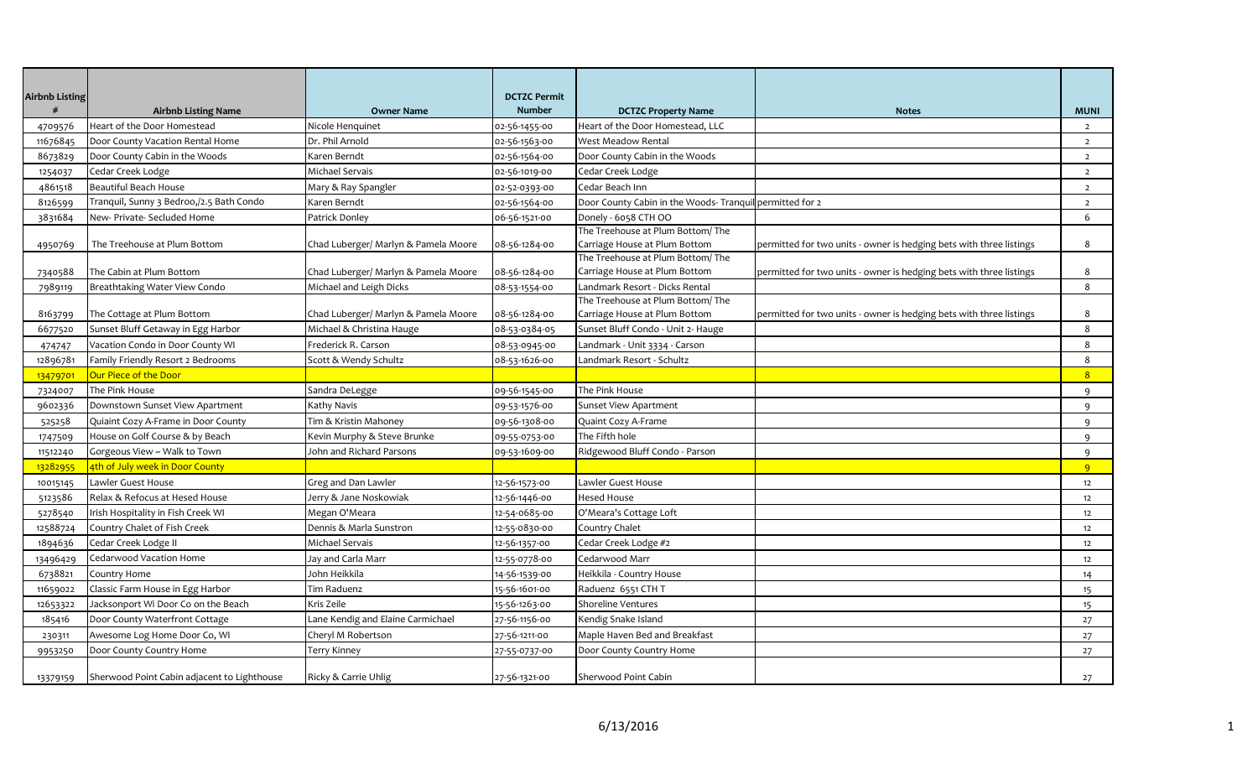| <b>Airbnb Listing</b> |                                                                      |                                         | <b>DCTZC Permit</b> |                                                                    |                                                                     |                     |
|-----------------------|----------------------------------------------------------------------|-----------------------------------------|---------------------|--------------------------------------------------------------------|---------------------------------------------------------------------|---------------------|
|                       | <b>Airbnb Listing Name</b>                                           | <b>Owner Name</b>                       | <b>Number</b>       | <b>DCTZC Property Name</b>                                         | <b>Notes</b>                                                        | <b>MUNI</b>         |
| 4709576               | Heart of the Door Homestead                                          | Nicole Henquinet                        | 02-56-1455-00       | Heart of the Door Homestead, LLC                                   |                                                                     | $\overline{2}$      |
| 11676845              | Door County Vacation Rental Home                                     | Dr. Phil Arnold                         | 02-56-1563-00       | West Meadow Rental                                                 |                                                                     | $\overline{2}$      |
| 8673829               | Door County Cabin in the Woods                                       | Karen Berndt                            | 02-56-1564-00       | Door County Cabin in the Woods                                     |                                                                     | $\overline{2}$      |
| 1254037               | Cedar Creek Lodge                                                    | Michael Servais                         | 02-56-1019-00       | Cedar Creek Lodge                                                  |                                                                     | $\overline{2}$      |
| 4861518               | Beautiful Beach House                                                | Mary & Ray Spangler                     | 02-52-0393-00       | Cedar Beach Inn                                                    |                                                                     | $\overline{2}$      |
| 8126599               | Tranquil, Sunny 3 Bedroo,/2.5 Bath Condo                             | Karen Berndt                            | 02-56-1564-00       | Door County Cabin in the Woods-Tranquil permitted for 2            |                                                                     | $\overline{2}$      |
| 3831684               | New- Private- Secluded Home                                          | Patrick Donley                          | 06-56-1521-00       | Donely - 6058 CTH OO                                               |                                                                     | 6                   |
|                       |                                                                      |                                         |                     | The Treehouse at Plum Bottom/The                                   |                                                                     |                     |
| 4950769               | The Treehouse at Plum Bottom                                         | Chad Luberger/ Marlyn & Pamela Moore    | 08-56-1284-00       | Carriage House at Plum Bottom                                      | permitted for two units - owner is hedging bets with three listings | 8                   |
|                       |                                                                      |                                         |                     | The Treehouse at Plum Bottom/The<br>Carriage House at Plum Bottom  |                                                                     | 8                   |
| 7340588               | The Cabin at Plum Bottom                                             | Chad Luberger/ Marlyn & Pamela Moore    | 08-56-1284-00       |                                                                    | permitted for two units - owner is hedging bets with three listings | 8                   |
| 7989119               | Breathtaking Water View Condo                                        | Michael and Leigh Dicks                 | 08-53-1554-00       | Landmark Resort - Dicks Rental<br>The Treehouse at Plum Bottom/The |                                                                     |                     |
| 8163799               | The Cottage at Plum Bottom                                           | Chad Luberger/ Marlyn & Pamela Moore    | 08-56-1284-00       | Carriage House at Plum Bottom                                      | permitted for two units - owner is hedging bets with three listings | 8                   |
| 6677520               | Sunset Bluff Getaway in Egg Harbor                                   | Michael & Christina Hauge               | 08-53-0384-05       | Sunset Bluff Condo - Unit 2- Hauge                                 |                                                                     | 8                   |
| 474747                | Vacation Condo in Door County WI                                     | Frederick R. Carson                     | 08-53-0945-00       | Landmark - Unit 3334 - Carson                                      |                                                                     | 8                   |
| 12896781              | Family Friendly Resort 2 Bedrooms                                    | Scott & Wendy Schultz                   | 08-53-1626-00       | andmark Resort - Schultz                                           |                                                                     | 8                   |
| 13479701              | Our Piece of the Door                                                |                                         |                     |                                                                    |                                                                     | 8                   |
| 7324007               | The Pink House                                                       | Sandra DeLegge                          | 09-56-1545-00       | The Pink House                                                     |                                                                     | 9                   |
| 9602336               | Downstown Sunset View Apartment                                      | Kathy Navis                             | 09-53-1576-00       | Sunset View Apartment                                              |                                                                     | 9                   |
| 525258                | Quiaint Cozy A-Frame in Door County                                  | Tim & Kristin Mahoney                   | 09-56-1308-00       | Quaint Cozy A-Frame                                                |                                                                     | 9                   |
|                       | House on Golf Course & by Beach                                      | Kevin Murphy & Steve Brunke             |                     | The Fifth hole                                                     |                                                                     | $\mathsf{q}$        |
| 1747509               | Gorgeous View ~ Walk to Town                                         | John and Richard Parsons                | 09-55-0753-00       | Ridgewood Bluff Condo - Parson                                     |                                                                     |                     |
| 11512240<br>13282955  | 4th of July week in Door County                                      |                                         | 09-53-1609-00       |                                                                    |                                                                     | 9<br>$\overline{9}$ |
|                       | Lawler Guest House                                                   | Greg and Dan Lawler                     |                     | Lawler Guest House                                                 |                                                                     |                     |
| 10015145              |                                                                      |                                         | 12-56-1573-00       |                                                                    |                                                                     | 12                  |
| 5123586               | Relax & Refocus at Hesed House<br>Irish Hospitality in Fish Creek WI | Jerry & Jane Noskowiak<br>Megan O'Meara | 12-56-1446-00       | Hesed House<br>O'Meara's Cottage Loft                              |                                                                     | 12                  |
| 5278540               |                                                                      |                                         | 12-54-0685-00       |                                                                    |                                                                     | 12                  |
| 12588724              | Country Chalet of Fish Creek                                         | Dennis & Marla Sunstron                 | 12-55-0830-00       | Country Chalet                                                     |                                                                     | 12                  |
| 1894636               | Cedar Creek Lodge II                                                 | Michael Servais                         | 12-56-1357-00       | Cedar Creek Lodge #2                                               |                                                                     | 12                  |
| 13496429              | Cedarwood Vacation Home                                              | Jay and Carla Marr                      | 12-55-0778-00       | Cedarwood Marr                                                     |                                                                     | 12                  |
| 6738821               | Country Home                                                         | John Heikkila                           | 14-56-1539-00       | Heikkila - Country House                                           |                                                                     | 14                  |
| 11659022              | Classic Farm House in Egg Harbor                                     | Tim Raduenz                             | 15-56-1601-00       | Raduenz 6551 CTH T                                                 |                                                                     | 15                  |
| 12653322              | Jacksonport Wi Door Co on the Beach                                  | Kris Zeile                              | 15-56-1263-00       | Shoreline Ventures                                                 |                                                                     | 15                  |
| 185416                | Door County Waterfront Cottage                                       | Lane Kendig and Elaine Carmichael       | 27-56-1156-00       | Kendig Snake Island                                                |                                                                     | 27                  |
| 230311                | Awesome Log Home Door Co, WI                                         | Cheryl M Robertson                      | 27-56-1211-00       | Maple Haven Bed and Breakfast                                      |                                                                     | 27                  |
| 9953250               | Door County Country Home                                             | Terry Kinney                            | 27-55-0737-00       | Door County Country Home                                           |                                                                     | 27                  |
| 13379159              | Sherwood Point Cabin adjacent to Lighthouse                          | Ricky & Carrie Uhlig                    | 27-56-1321-00       | Sherwood Point Cabin                                               |                                                                     | 27                  |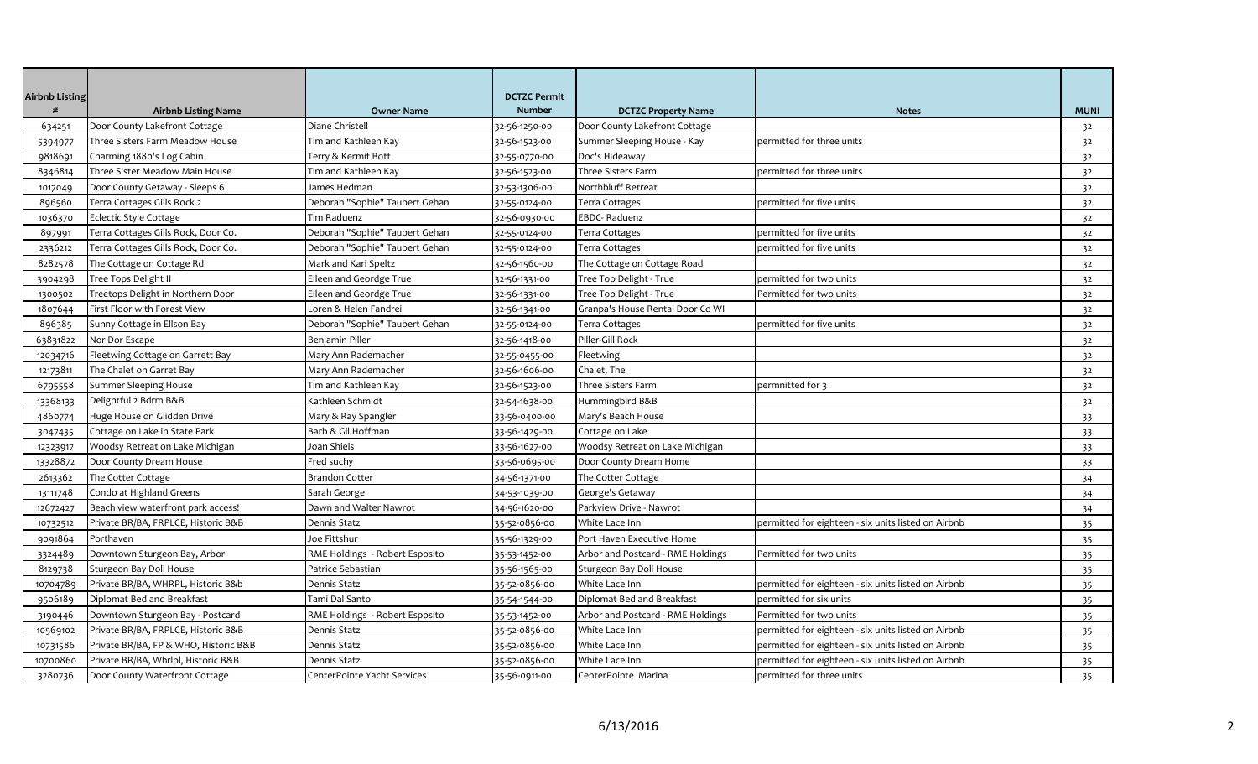| <b>Airbnb Listing</b> |                                       |                                | <b>DCTZC Permit</b> |                                   |                                                     |                |
|-----------------------|---------------------------------------|--------------------------------|---------------------|-----------------------------------|-----------------------------------------------------|----------------|
| #                     | <b>Airbnb Listing Name</b>            | <b>Owner Name</b>              | <b>Number</b>       | <b>DCTZC Property Name</b>        | <b>Notes</b>                                        | <b>MUNI</b>    |
| 634251                | Door County Lakefront Cottage         | Diane Christell                | 32-56-1250-00       | Door County Lakefront Cottage     |                                                     | 32             |
| 5394977               | Three Sisters Farm Meadow House       | Tim and Kathleen Kay           | 32-56-1523-00       | Summer Sleeping House - Kay       | permitted for three units                           | 32             |
| 9818691               | Charming 1880's Log Cabin             | Terry & Kermit Bott            | 32-55-0770-00       | Doc's Hideaway                    |                                                     | 32             |
| 8346814               | Three Sister Meadow Main House        | Tim and Kathleen Kay           | 32-56-1523-00       | Three Sisters Farm                | permitted for three units                           | 32             |
| 1017049               | Door County Getaway - Sleeps 6        | James Hedman                   | 32-53-1306-00       | Northbluff Retreat                |                                                     | 32             |
| 896560                | Terra Cottages Gills Rock 2           | Deborah "Sophie" Taubert Gehan | 32-55-0124-00       | Terra Cottages                    | permitted for five units                            | 32             |
| 1036370               | Eclectic Style Cottage                | Tim Raduenz                    | 32-56-0930-00       | <b>EBDC-Raduenz</b>               |                                                     | 32             |
| 897991                | Terra Cottages Gills Rock, Door Co.   | Deborah "Sophie" Taubert Gehan | 32-55-0124-00       | Terra Cottages                    | permitted for five units                            | 32             |
| 2336212               | Terra Cottages Gills Rock, Door Co.   | Deborah "Sophie" Taubert Gehan | 32-55-0124-00       | Terra Cottages                    | permitted for five units                            | 32             |
| 8282578               | The Cottage on Cottage Rd             | Mark and Kari Speltz           | 32-56-1560-00       | The Cottage on Cottage Road       |                                                     | 32             |
| 3904298               | Tree Tops Delight II                  | Eileen and Geordge True        | 32-56-1331-00       | Tree Top Delight - True           | permitted for two units                             | 32             |
| 1300502               | Treetops Delight in Northern Door     | Eileen and Geordge True        | 32-56-1331-00       | Tree Top Delight - True           | Permitted for two units                             | 32             |
| 1807644               | First Floor with Forest View          | Loren & Helen Fandrei          | 32-56-1341-00       | Granpa's House Rental Door Co WI  |                                                     | 32             |
| 896385                | Sunny Cottage in Ellson Bay           | Deborah "Sophie" Taubert Gehan | 32-55-0124-00       | Terra Cottages                    | permitted for five units                            | 32             |
| 63831822              | Nor Dor Escape                        | Benjamin Piller                | 32-56-1418-00       | Piller-Gill Rock                  |                                                     | 32             |
| 12034716              | Fleetwing Cottage on Garrett Bay      | Mary Ann Rademacher            | 32-55-0455-00       | Fleetwing                         |                                                     | 32             |
| 12173811              | The Chalet on Garret Bay              | Mary Ann Rademacher            | 32-56-1606-00       | Chalet, The                       |                                                     | 32             |
| 6795558               | Summer Sleeping House                 | Tim and Kathleen Kay           | 32-56-1523-00       | Three Sisters Farm                | permnitted for 3                                    | 3 <sup>2</sup> |
| 13368133              | Delightful 2 Bdrm B&B                 | Kathleen Schmidt               | 32-54-1638-00       | Hummingbird B&B                   |                                                     | 32             |
| 4860774               | Huge House on Glidden Drive           | Mary & Ray Spangler            | 33-56-0400-00       | Mary's Beach House                |                                                     | 33             |
| 3047435               | Cottage on Lake in State Park         | Barb & Gil Hoffman             | 33-56-1429-00       | Cottage on Lake                   |                                                     | 33             |
| 12323917              | Woodsy Retreat on Lake Michigan       | Joan Shiels                    | 33-56-1627-00       | Woodsy Retreat on Lake Michigan   |                                                     | 33             |
| 13328872              | Door County Dream House               | Fred suchy                     | 33-56-0695-00       | Door County Dream Home            |                                                     | 33             |
| 2613362               | The Cotter Cottage                    | Brandon Cotter                 | 34-56-1371-00       | The Cotter Cottage                |                                                     | 34             |
| 13111748              | Condo at Highland Greens              | Sarah George                   | 34-53-1039-00       | George's Getaway                  |                                                     | 34             |
| 12672427              | Beach view waterfront park access!    | Dawn and Walter Nawrot         | 34-56-1620-00       | Parkview Drive - Nawrot           |                                                     | 34             |
| 10732512              | Private BR/BA, FRPLCE, Historic B&B   | Dennis Statz                   | 35-52-0856-00       | White Lace Inn                    | permitted for eighteen - six units listed on Airbnb | 35             |
| 9091864               | Porthaven                             | Joe Fittshur                   | 35-56-1329-00       | Port Haven Executive Home         |                                                     | 35             |
| 3324489               | Downtown Sturgeon Bay, Arbor          | RME Holdings - Robert Esposito | 35-53-1452-00       | Arbor and Postcard - RME Holdings | Permitted for two units                             | 35             |
| 8129738               | Sturgeon Bay Doll House               | Patrice Sebastian              | 35-56-1565-00       | Sturgeon Bay Doll House           |                                                     | 35             |
| 10704789              | Private BR/BA, WHRPL, Historic B&b    | Dennis Statz                   | 35-52-0856-00       | White Lace Inn                    | permitted for eighteen - six units listed on Airbnb | 35             |
| 9506189               | Diplomat Bed and Breakfast            | Tami Dal Santo                 | 35-54-1544-00       | Diplomat Bed and Breakfast        | permitted for six units                             | 35             |
| 3190446               | Downtown Sturgeon Bay - Postcard      | RME Holdings - Robert Esposito | 35-53-1452-00       | Arbor and Postcard - RME Holdings | Permitted for two units                             | 35             |
| 10569102              | Private BR/BA, FRPLCE, Historic B&B   | Dennis Statz                   | 35-52-0856-00       | White Lace Inn                    | permitted for eighteen - six units listed on Airbnb | 35             |
| 10731586              | Private BR/BA, FP & WHO, Historic B&B | Dennis Statz                   | 35-52-0856-00       | White Lace Inn                    | permitted for eighteen - six units listed on Airbnb | 35             |
| 10700860              | Private BR/BA, Whrlpl, Historic B&B   | Dennis Statz                   | 35-52-0856-00       | White Lace Inn                    | permitted for eighteen - six units listed on Airbnb | 35             |
| 3280736               | Door County Waterfront Cottage        | CenterPointe Yacht Services    | 35-56-0911-00       | CenterPointe Marina               | permitted for three units                           | 35             |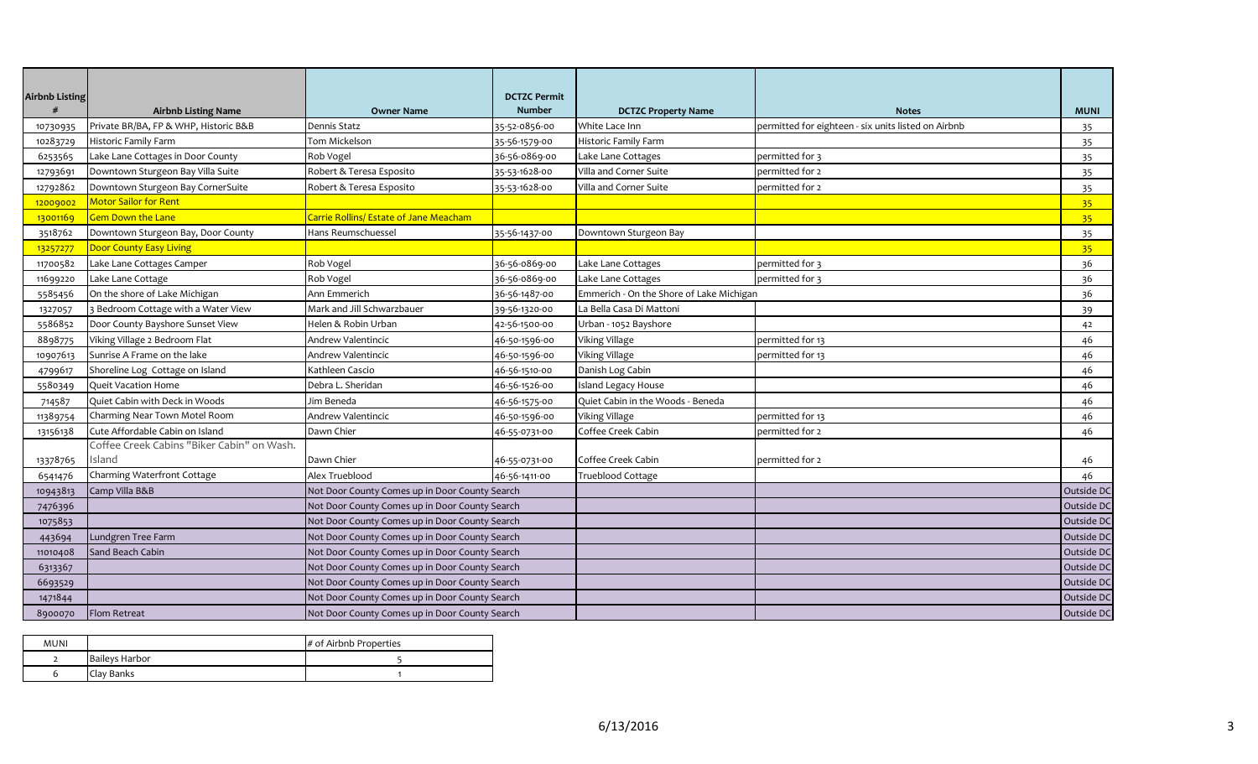| <b>Airbnb Listing</b> | <b>Airbnb Listing Name</b>                 | <b>Owner Name</b>                              | <b>DCTZC Permit</b><br><b>Number</b> | <b>DCTZC Property Name</b>               | <b>Notes</b>                                        | <b>MUNI</b>     |
|-----------------------|--------------------------------------------|------------------------------------------------|--------------------------------------|------------------------------------------|-----------------------------------------------------|-----------------|
| 10730935              | Private BR/BA, FP & WHP, Historic B&B      | Dennis Statz                                   | 35-52-0856-00                        | White Lace Inn                           | permitted for eighteen - six units listed on Airbnb | 35              |
| 10283729              | Historic Family Farm                       | Tom Mickelson                                  | 35-56-1579-00                        | Historic Family Farm                     |                                                     | 35              |
| 6253565               | Lake Lane Cottages in Door County          | Rob Vogel                                      | 36-56-0869-00                        | Lake Lane Cottages                       | permitted for 3                                     | 35              |
| 12793691              | Downtown Sturgeon Bay Villa Suite          | Robert & Teresa Esposito                       | 35-53-1628-00                        | Villa and Corner Suite                   | permitted for 2                                     | 35              |
| 12792862              | Downtown Sturgeon Bay CornerSuite          | Robert & Teresa Esposito                       | 35-53-1628-00                        | Villa and Corner Suite                   | permitted for 2                                     | 35              |
| 12009002              | Motor Sailor for Rent                      |                                                |                                      |                                          |                                                     | 35 <sub>1</sub> |
| 13001169              | <b>Gem Down the Lane</b>                   | Carrie Rollins/ Estate of Jane Meacham         |                                      |                                          |                                                     | 35 <sub>1</sub> |
| 3518762               | Downtown Sturgeon Bay, Door County         | Hans Reumschuessel                             | 35-56-1437-00                        | Downtown Sturgeon Bay                    |                                                     | 35              |
| 13257277              | Door County Easy Living                    |                                                |                                      |                                          |                                                     | 35 <sub>2</sub> |
| 11700582              | Lake Lane Cottages Camper                  | Rob Vogel                                      | 36-56-0869-00                        | Lake Lane Cottages                       | permitted for 3                                     | 36              |
| 11699220              | Lake Lane Cottage                          | Rob Vogel                                      | 36-56-0869-00                        | Lake Lane Cottages                       | permitted for 3                                     | 36              |
| 5585456               | On the shore of Lake Michigan              | Ann Emmerich<br>36-56-1487-00                  |                                      | Emmerich - On the Shore of Lake Michigan |                                                     | 36              |
| 1327057               | Bedroom Cottage with a Water View          | Mark and Jill Schwarzbauer                     | 39-56-1320-00                        | La Bella Casa Di Mattoni                 |                                                     | 39              |
| 5586852               | Door County Bayshore Sunset View           | Helen & Robin Urban                            | 42-56-1500-00                        | Urban - 1052 Bayshore                    |                                                     | 42              |
| 8898775               | Viking Village 2 Bedroom Flat              | Andrew Valentincic                             | 46-50-1596-00                        | <b>Viking Village</b>                    | permitted for 13                                    | 46              |
| 10907613              | Sunrise A Frame on the lake                | Andrew Valentincic                             | 46-50-1596-00                        | <b>Viking Village</b>                    | permitted for 13                                    | 46              |
| 4799617               | Shoreline Log Cottage on Island            | Kathleen Cascio                                | 46-56-1510-00                        | Danish Log Cabin                         |                                                     | 46              |
| 5580349               | Queit Vacation Home                        | Debra L. Sheridan                              | 46-56-1526-00                        | <b>Island Legacy House</b>               |                                                     | 46              |
| 714587                | Quiet Cabin with Deck in Woods             | Jim Beneda                                     | 46-56-1575-00                        | Quiet Cabin in the Woods - Beneda        |                                                     | 46              |
| 11389754              | Charming Near Town Motel Room              | Andrew Valentincic                             | 46-50-1596-00                        | <b>Viking Village</b>                    | permitted for 13                                    | 46              |
| 13156138              | Cute Affordable Cabin on Island            | Dawn Chier                                     | 46-55-0731-00                        | Coffee Creek Cabin                       | permitted for 2                                     | 46              |
|                       | Coffee Creek Cabins "Biker Cabin" on Wash. |                                                |                                      |                                          |                                                     |                 |
| 13378765              | Island                                     | Dawn Chier                                     | 46-55-0731-00                        | Coffee Creek Cabin                       | permitted for 2                                     | 46              |
| 6541476               | Charming Waterfront Cottage                | Alex Trueblood                                 | 46-56-1411-00                        | <b>Trueblood Cottage</b>                 |                                                     | 46              |
| 10943813              | Camp Villa B&B                             | Not Door County Comes up in Door County Search |                                      |                                          |                                                     | Outside DC      |
| 7476396               |                                            | Not Door County Comes up in Door County Search |                                      |                                          |                                                     | Outside DC      |
| 1075853               |                                            | Not Door County Comes up in Door County Search |                                      |                                          |                                                     | Outside DC      |
| 443694                | Lundgren Tree Farm                         | Not Door County Comes up in Door County Search |                                      |                                          |                                                     | Outside DC      |
| 11010408              | Sand Beach Cabin                           | Not Door County Comes up in Door County Search |                                      |                                          |                                                     | Outside DC      |
| 6313367               |                                            | Not Door County Comes up in Door County Search |                                      |                                          |                                                     | Outside DC      |
| 6693529               |                                            | Not Door County Comes up in Door County Search |                                      |                                          |                                                     | Outside DC      |
| 1471844               |                                            | Not Door County Comes up in Door County Search |                                      |                                          |                                                     | Outside DC      |
| 8900070               | <b>Flom Retreat</b>                        | Not Door County Comes up in Door County Search |                                      |                                          |                                                     | Outside DC      |

| <b>MUNI</b> |                       | # of Airbnb Properties |
|-------------|-----------------------|------------------------|
|             | <b>Baileys Harbor</b> |                        |
|             | Clay Banks            |                        |